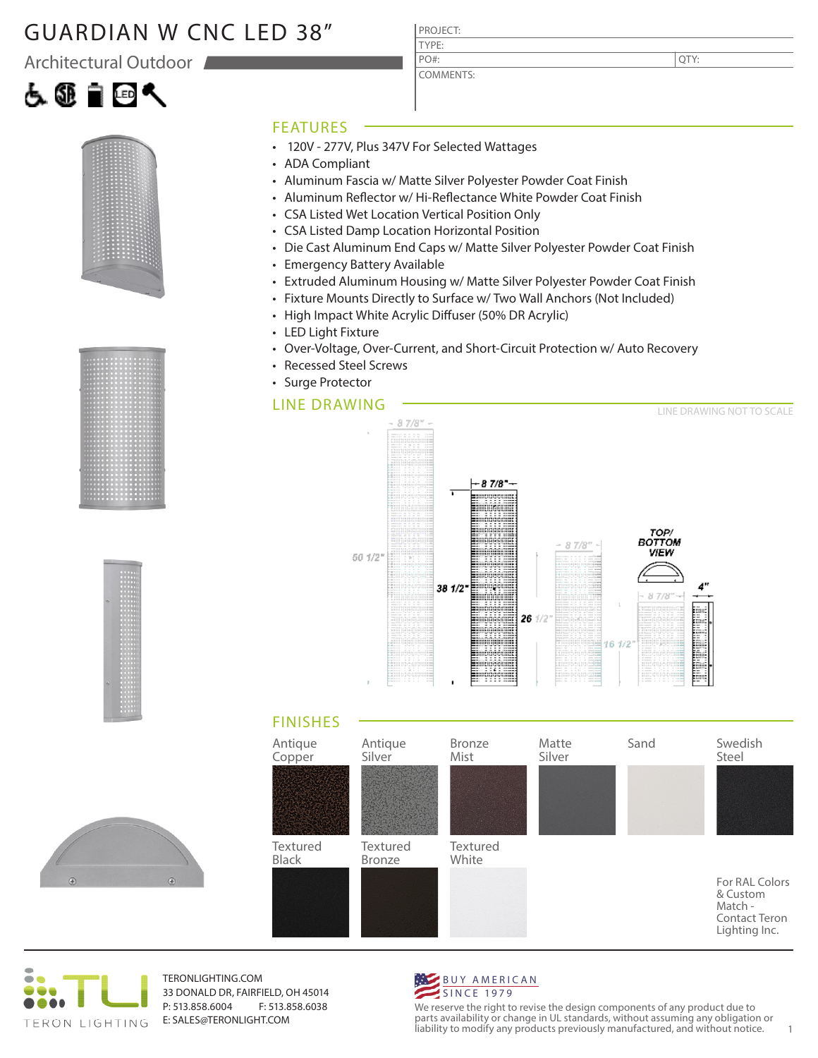## GUARDIAN W CNC LED 38"

Architectural Outdoor









#### FEATURES

- 120V 277V, Plus 347V For Selected Wattages
- ADA Compliant
- Aluminum Fascia w/ Matte Silver Polyester Powder Coat Finish

PROJECT: TYPE:

PO#:

COMMENTS:

- Aluminum Reflector w/ Hi-Reflectance White Powder Coat Finish
- CSA Listed Wet Location Vertical Position Only
- CSA Listed Damp Location Horizontal Position
- Die Cast Aluminum End Caps w/ Matte Silver Polyester Powder Coat Finish
- Emergency Battery Available
- Extruded Aluminum Housing w/ Matte Silver Polyester Powder Coat Finish
- Fixture Mounts Directly to Surface w/ Two Wall Anchors (Not Included)
- High Impact White Acrylic Diffuser (50% DR Acrylic)
- LED Light Fixture
- Over-Voltage, Over-Current, and Short-Circuit Protection w/ Auto Recovery
- Recessed Steel Screws
- Surge Protector

### LINE DRAWING



#### FINISHES





TERONLIGHTING.COM 33 DONALD DR, FAIRFIELD, OH 45014 P: 513.858.6004 F: 513.858.6038 E: SALES@TERONLIGHT.COM



We reserve the right to revise the design components of any product due to parts availability or change in UL standards, without assuming any obligation or liability to modify any products previously manufactured, and without notice. 1

QTY: